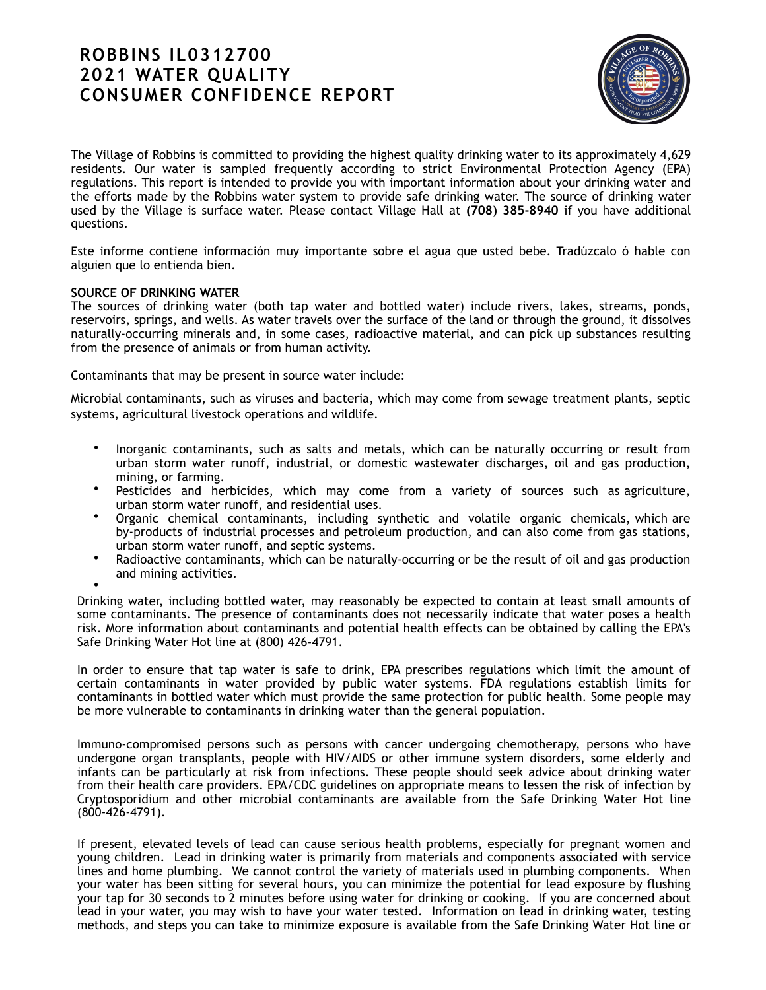# **ROBBINS IL0312700 2021 WATER QUALITY CONSUMER CONFIDENCE REPORT**



The Village of Robbins is committed to providing the highest quality drinking water to its approximately 4,629 residents. Our water is sampled frequently according to strict Environmental Protection Agency (EPA) regulations. This report is intended to provide you with important information about your drinking water and the efforts made by the Robbins water system to provide safe drinking water. The source of drinking water used by the Village is surface water. Please contact Village Hall at **(708) 385-8940** if you have additional questions.

Este informe contiene información muy importante sobre el agua que usted bebe. Tradúzcalo ó hable con alguien que lo entienda bien.

# **SOURCE OF DRINKING WATER**

The sources of drinking water (both tap water and bottled water) include rivers, lakes, streams, ponds, reservoirs, springs, and wells. As water travels over the surface of the land or through the ground, it dissolves naturally-occurring minerals and, in some cases, radioactive material, and can pick up substances resulting from the presence of animals or from human activity.

Contaminants that may be present in source water include:

Microbial contaminants, such as viruses and bacteria, which may come from sewage treatment plants, septic systems, agricultural livestock operations and wildlife.

- Inorganic contaminants, such as salts and metals, which can be naturally occurring or result from urban storm water runoff, industrial, or domestic wastewater discharges, oil and gas production, mining, or farming.
- Pesticides and herbicides, which may come from a variety of sources such as agriculture, urban storm water runoff, and residential uses.
- Organic chemical contaminants, including synthetic and volatile organic chemicals, which are by-products of industrial processes and petroleum production, and can also come from gas stations, urban storm water runoff, and septic systems.
- Radioactive contaminants, which can be naturally-occurring or be the result of oil and gas production and mining activities.
- •

Drinking water, including bottled water, may reasonably be expected to contain at least small amounts of some contaminants. The presence of contaminants does not necessarily indicate that water poses a health risk. More information about contaminants and potential health effects can be obtained by calling the EPA's Safe Drinking Water Hot line at (800) 426-4791.

In order to ensure that tap water is safe to drink, EPA prescribes regulations which limit the amount of certain contaminants in water provided by public water systems. FDA regulations establish limits for contaminants in bottled water which must provide the same protection for public health. Some people may be more vulnerable to contaminants in drinking water than the general population.

Immuno-compromised persons such as persons with cancer undergoing chemotherapy, persons who have undergone organ transplants, people with HIV/AIDS or other immune system disorders, some elderly and infants can be particularly at risk from infections. These people should seek advice about drinking water from their health care providers. EPA/CDC guidelines on appropriate means to lessen the risk of infection by Cryptosporidium and other microbial contaminants are available from the Safe Drinking Water Hot line (800-426-4791).

If present, elevated levels of lead can cause serious health problems, especially for pregnant women and young children. Lead in drinking water is primarily from materials and components associated with service lines and home plumbing. We cannot control the variety of materials used in plumbing components. When your water has been sitting for several hours, you can minimize the potential for lead exposure by flushing your tap for 30 seconds to 2 minutes before using water for drinking or cooking. If you are concerned about lead in your water, you may wish to have your water tested. Information on lead in drinking water, testing methods, and steps you can take to minimize exposure is available from the Safe Drinking Water Hot line or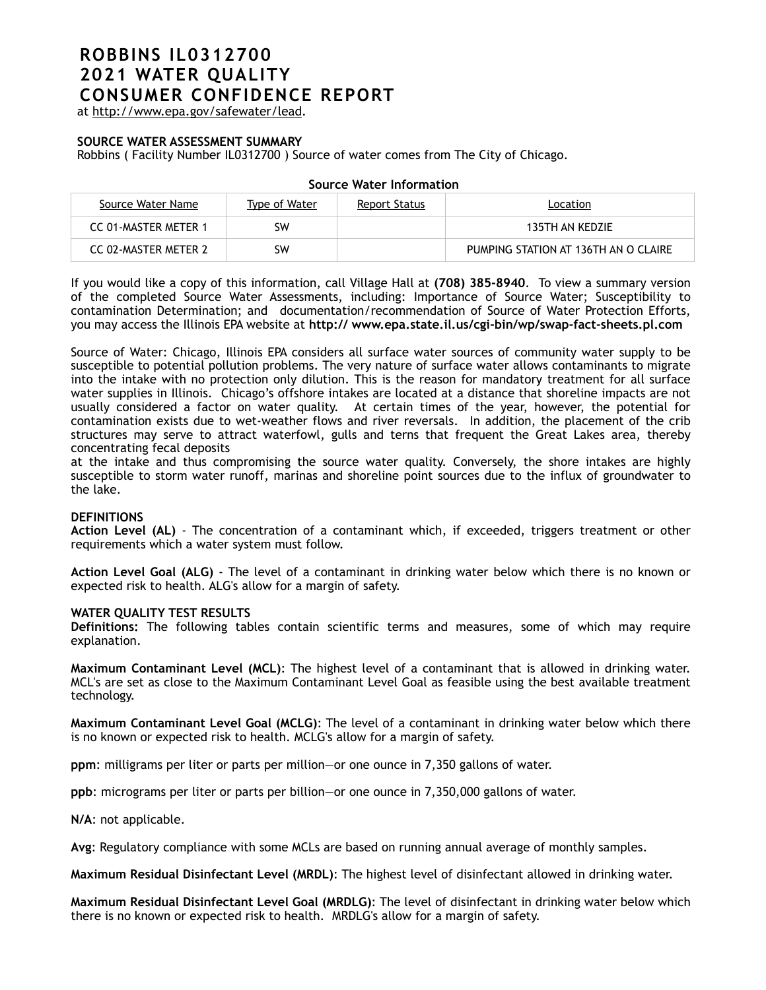# **ROBBINS IL0312700 2021 WATER QUALITY CONSUMER CONFIDENCE REPORT**

at <http://www.epa.gov/safewater/lead>.

## **SOURCE WATER ASSESSMENT SUMMARY**

Robbins ( Facility Number IL0312700 ) Source of water comes from The City of Chicago.

| Source Water Name    | Type of Water | Report Status | Location                             |
|----------------------|---------------|---------------|--------------------------------------|
| CC 01-MASTER METER 1 | SW            |               | 135TH AN KEDZIE                      |
| CC 02-MASTER METER 2 | SW            |               | PUMPING STATION AT 136TH AN O CLAIRE |

#### **Source Water Information**

If you would like a copy of this information, call Village Hall at **(708) 385-8940**. To view a summary version of the completed Source Water Assessments, including: Importance of Source Water; Susceptibility to contamination Determination; and documentation/recommendation of Source of Water Protection Efforts, you may access the Illinois EPA website at **http:// [www.epa.state.il.us/cgi-bin/wp/swap-fact-sheets.pl.com](http://www.epa.state.il.us/cgi-bin/wp/swap-fact-sheets.pl.com)**

Source of Water: Chicago, Illinois EPA considers all surface water sources of community water supply to be susceptible to potential pollution problems. The very nature of surface water allows contaminants to migrate into the intake with no protection only dilution. This is the reason for mandatory treatment for all surface water supplies in Illinois. Chicago's offshore intakes are located at a distance that shoreline impacts are not usually considered a factor on water quality. At certain times of the year, however, the potential for contamination exists due to wet-weather flows and river reversals. In addition, the placement of the crib structures may serve to attract waterfowl, gulls and terns that frequent the Great Lakes area, thereby concentrating fecal deposits

at the intake and thus compromising the source water quality. Conversely, the shore intakes are highly susceptible to storm water runoff, marinas and shoreline point sources due to the influx of groundwater to the lake.

### **DEFINITIONS**

**Action Level (AL)** - The concentration of a contaminant which, if exceeded, triggers treatment or other requirements which a water system must follow.

**Action Level Goal (ALG)** - The level of a contaminant in drinking water below which there is no known or expected risk to health. ALG's allow for a margin of safety.

#### **WATER QUALITY TEST RESULTS**

**Definitions:** The following tables contain scientific terms and measures, some of which may require explanation.

**Maximum Contaminant Level (MCL)**: The highest level of a contaminant that is allowed in drinking water. MCL's are set as close to the Maximum Contaminant Level Goal as feasible using the best available treatment technology.

**Maximum Contaminant Level Goal (MCLG)**: The level of a contaminant in drinking water below which there is no known or expected risk to health. MCLG's allow for a margin of safety.

**ppm**: milligrams per liter or parts per million—or one ounce in 7,350 gallons of water.

**ppb**: micrograms per liter or parts per billion—or one ounce in 7,350,000 gallons of water.

**N/A**: not applicable.

**Avg**: Regulatory compliance with some MCLs are based on running annual average of monthly samples.

**Maximum Residual Disinfectant Level (MRDL)**: The highest level of disinfectant allowed in drinking water.

**Maximum Residual Disinfectant Level Goal (MRDLG)**: The level of disinfectant in drinking water below which there is no known or expected risk to health. MRDLG's allow for a margin of safety.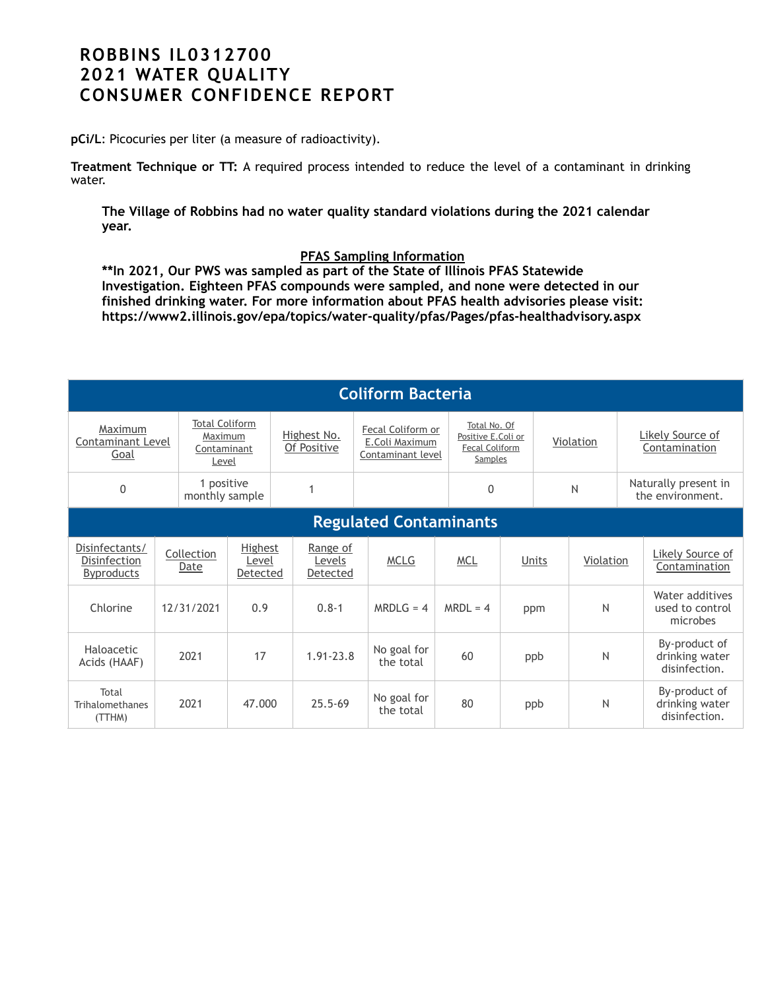# **ROBBINS IL0312700 2021 WATER QUALITY CONSUMER CONFIDENCE REPORT**

**pCi/L**: Picocuries per liter (a measure of radioactivity).

**Treatment Technique or TT:** A required process intended to reduce the level of a contaminant in drinking water.

**The Village of Robbins had no water quality standard violations during the 2021 calendar year.** 

# **PFAS Sampling Information**

**\*\*In 2021, Our PWS was sampled as part of the State of Illinois PFAS Statewide Investigation. Eighteen PFAS compounds were sampled, and none were detected in our finished drinking water. For more information about PFAS health advisories please visit: https://www2.illinois.gov/epa/topics/water-quality/pfas/Pages/pfas-healthadvisory.aspx**

| <b>Coliform Bacteria</b>                            |  |                                                          |                                     |  |                                |                                                          |  |                                                                        |     |       |              |                                   |                                                  |
|-----------------------------------------------------|--|----------------------------------------------------------|-------------------------------------|--|--------------------------------|----------------------------------------------------------|--|------------------------------------------------------------------------|-----|-------|--------------|-----------------------------------|--------------------------------------------------|
| Maximum<br>Contaminant Level<br>Goal                |  | <b>Total Coliform</b><br>Maximum<br>Contaminant<br>Level |                                     |  | Highest No.<br>Of Positive     | Fecal Coliform or<br>E.Coli Maximum<br>Contaminant level |  | Total No. Of<br>Positive E.Coli or<br><b>Fecal Coliform</b><br>Samples |     |       | Violation    | Likely Source of<br>Contamination |                                                  |
| $\mathbf{0}$                                        |  | 1 positive<br>monthly sample                             |                                     |  |                                |                                                          |  | $\Omega$                                                               |     |       | N            |                                   | Naturally present in<br>the environment.         |
| <b>Regulated Contaminants</b>                       |  |                                                          |                                     |  |                                |                                                          |  |                                                                        |     |       |              |                                   |                                                  |
| Disinfectants/<br>Disinfection<br><b>Byproducts</b> |  | Collection<br>Date                                       | <b>Highest</b><br>Level<br>Detected |  | Range of<br>Levels<br>Detected | <b>MCLG</b>                                              |  | <b>MCL</b>                                                             |     | Units | Violation    |                                   | Likely Source of<br>Contamination                |
| Chlorine                                            |  | 12/31/2021                                               | 0.9                                 |  | $0.8 - 1$                      | $MRDLG = 4$                                              |  | $MRDL = 4$                                                             | ppm |       | N            |                                   | Water additives<br>used to control<br>microbes   |
| Haloacetic<br>Acids (HAAF)                          |  | 2021                                                     | 17                                  |  | $1.91 - 23.8$                  | No goal for<br>the total                                 |  | 60                                                                     |     | ppb   | N            |                                   | By-product of<br>drinking water<br>disinfection. |
| Total<br>Trihalomethanes<br>(TTHM)                  |  | 2021                                                     | 47.000                              |  | $25.5 - 69$                    | No goal for<br>the total                                 |  | 80                                                                     |     | ppb   | $\mathsf{N}$ |                                   | By-product of<br>drinking water<br>disinfection. |